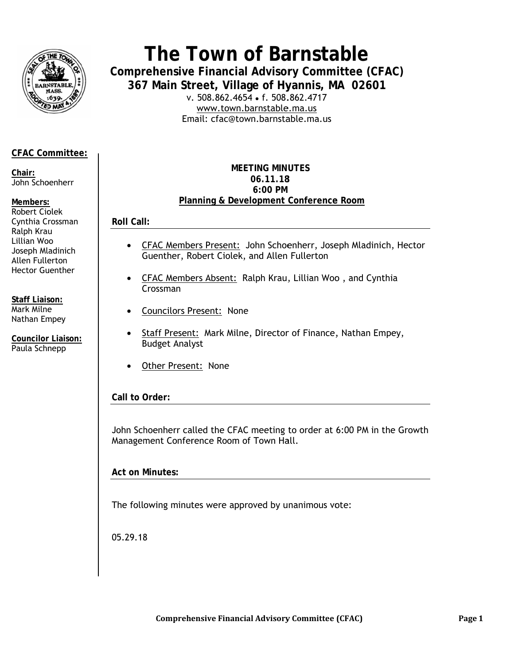

# The Town of Barnstable

**Comprehensive Financial Advisory Committee (CFAC)** 367 Main Street, Village of Hyannis, MA 02601

v. 508.862.4654 • f. 508.862.4717 www.town.barnstable.ma.us Email: cfac@town.barnstable.ma.us

# **CFAC Committee:**

Chair: John Schoenherr

## Members:

Robert Ciolek Cynthia Crossman Ralph Krau Lillian Woo Joseph Mladinich Allen Fullerton **Hector Guenther** 

**Staff Liaison:** Mark Milne Nathan Empey

**Councilor Liaison:** Paula Schnepp

## **MEETING MINUTES** 06.11.18 6:00 PM Planning & Development Conference Room

**Roll Call:** 

- CFAC Members Present: John Schoenherr, Joseph Mladinich, Hector  $\bullet$ Guenther, Robert Ciolek, and Allen Fullerton
- CFAC Members Absent: Ralph Krau, Lillian Woo, and Cynthia Crossman
- Councilors Present: None
- Staff Present: Mark Milne, Director of Finance, Nathan Empey, **Budget Analyst**
- Other Present: None  $\bullet$

# Call to Order:

John Schoenherr called the CFAC meeting to order at 6:00 PM in the Growth Management Conference Room of Town Hall.

**Act on Minutes:** 

The following minutes were approved by unanimous vote:

05.29.18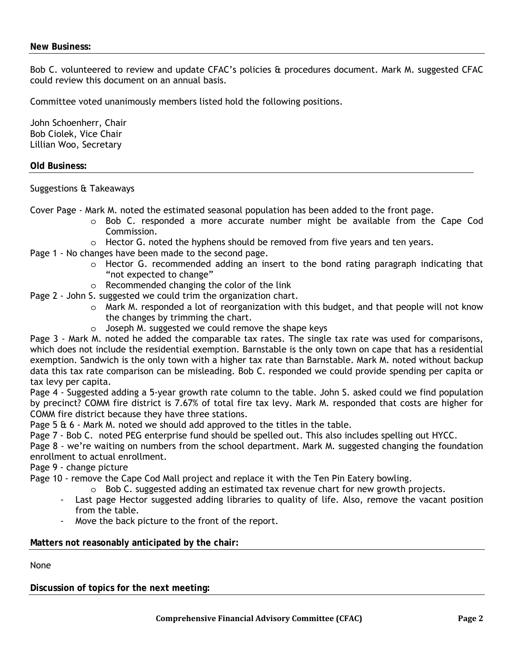Bob C. volunteered to review and update CFAC's policies & procedures document. Mark M. suggested CFAC could review this document on an annual basis.

Committee voted unanimously members listed hold the following positions.

John Schoenherr, Chair Bob Ciolek, Vice Chair Lillian Woo, Secretary

#### **Old Business:**

Suggestions & Takeaways

Cover Page - Mark M. noted the estimated seasonal population has been added to the front page.

- $\circ$  Bob C. responded a more accurate number might be available from the Cape Cod Commission.
- $\circ$  Hector G. noted the hyphens should be removed from five years and ten years.
- Page 1 No changes have been made to the second page.
	- $\circ$  Hector G. recommended adding an insert to the bond rating paragraph indicating that "not expected to change"
	- o Recommended changing the color of the link
- Page 2 John S. suggested we could trim the organization chart.
	- $\circ$  Mark M. responded a lot of reorganization with this budget, and that people will not know the changes by trimming the chart.
	- o Joseph M. suggested we could remove the shape keys

Page 3 - Mark M. noted he added the comparable tax rates. The single tax rate was used for comparisons, which does not include the residential exemption. Barnstable is the only town on cape that has a residential exemption. Sandwich is the only town with a higher tax rate than Barnstable. Mark M. noted without backup data this tax rate comparison can be misleading. Bob C. responded we could provide spending per capita or tax levy per capita.

Page 4 - Suggested adding a 5-year growth rate column to the table. John S. asked could we find population by precinct? COMM fire district is 7.67% of total fire tax levy. Mark M. responded that costs are higher for COMM fire district because they have three stations.

Page 5 & 6 - Mark M. noted we should add approved to the titles in the table.

Page 7 - Bob C. noted PEG enterprise fund should be spelled out. This also includes spelling out HYCC.

Page 8 - we're waiting on numbers from the school department. Mark M. suggested changing the foundation enrollment to actual enrollment.

Page 9 - change picture

Page 10 - remove the Cape Cod Mall project and replace it with the Ten Pin Eatery bowling.

- $\circ$  Bob C. suggested adding an estimated tax revenue chart for new growth projects.
- Last page Hector suggested adding libraries to quality of life. Also, remove the vacant position from the table.
- Move the back picture to the front of the report.

# **Matters not reasonably anticipated by the chair:**

None

**Discussion of topics for the next meeting:**